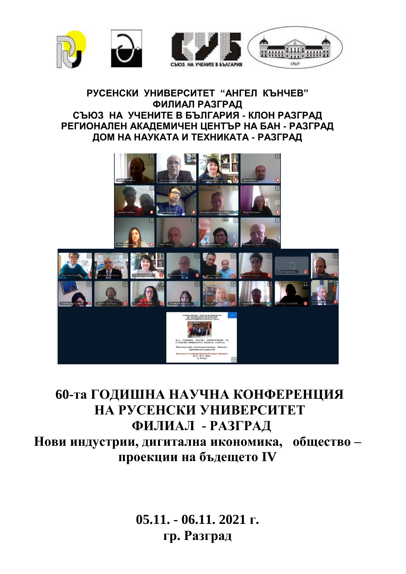

#### **РУСЕНСКИ УНИВЕРСИТЕТ "АНГЕЛ КЪНЧЕВ" ФИЛИАЛ РАЗГРАД СЪЮЗ НА УЧЕНИТЕ В БЪЛГАРИЯ - КЛОН РАЗГРАД РЕГИОНАЛЕН АКАДЕМИЧЕН ЦЕНТЪР НА БАН - РАЗГРАД ДОМ НА НАУКАТА И ТЕХНИКАТА - РАЗГРАД**



# **60-та ГОДИШНА НАУЧНА КОНФЕРЕНЦИЯ** НА РУСЕНСКИ УНИВЕРСИТЕТ **ФИЛИАЛ - РАЗГРАД Нови индустрии, дигитална икономика, общество – проекции на бъдещето IV**

**05.11. - 06.11. 2021 г. гр. Разград**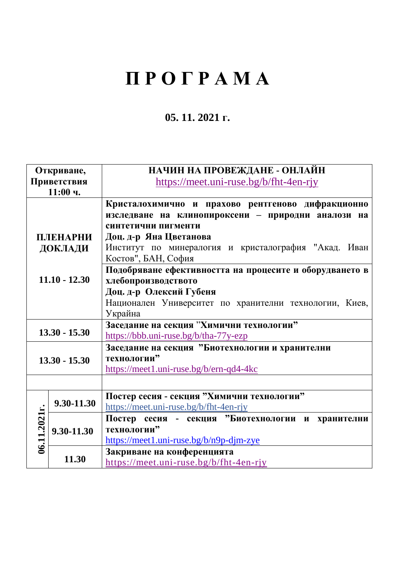# **П Р О Г Р А М А**

## **05. 11. 2021 г.**

| Откриване,      |            | НАЧИН НА ПРОВЕЖДАНЕ - ОНЛАЙН                            |
|-----------------|------------|---------------------------------------------------------|
| Приветствия     |            | https://meet.uni-ruse.bg/b/fht-4en-rjy                  |
| $11:00$ ч.      |            |                                                         |
|                 |            | Кристалохимично и прахово рентгеново дифракционно       |
|                 |            | изследване на клинопироксени - природни аналози на      |
|                 |            | синтетични пигменти                                     |
| ПЛЕНАРНИ        |            | Доц. д-р Яна Цветанова                                  |
| ДОКЛАДИ         |            | Институт по минералогия и кристалография "Акад. Иван    |
|                 |            | Костов", БАН, София                                     |
|                 |            | Подобряване ефективността на процесите и оборудването в |
| $11.10 - 12.30$ |            | хлебопроизводството                                     |
|                 |            | Доц. д-р Олексий Губеня                                 |
|                 |            | Национален Университет по хранителни технологии, Киев,  |
|                 |            | Украйна                                                 |
|                 |            | Заседание на секция "Химични технологии"                |
| $13.30 - 15.30$ |            | https://bbb.uni-ruse.bg/b/tha-77y-ezp                   |
| $13.30 - 15.30$ |            | Заседание на секция "Биотехнологии и хранителни         |
|                 |            | технологии"                                             |
|                 |            | https://meet1.uni-ruse.bg/b/ern-qd4-4kc                 |
|                 |            |                                                         |
|                 |            | Постер сесия - секция "Химични технологии"              |
| 06.11.2021r.    | 9.30-11.30 | https://meet.uni-ruse.bg/b/fht-4en-rjy                  |
|                 |            | Постер сесия - секция "Биотехнологии и хранителни       |
|                 | 9.30-11.30 | технологии"                                             |
|                 |            | https://meet1.uni-ruse.bg/b/n9p-djm-zye                 |
|                 |            | Закриване на конференцията                              |
|                 | 11.30      | https://meet.uni-ruse.bg/b/fht-4en-rjy                  |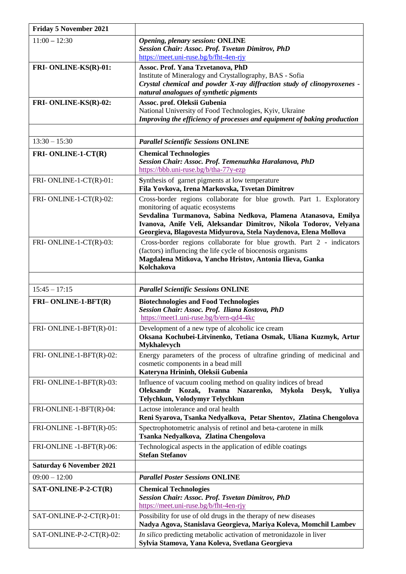| <b>Friday 5 November 2021</b>   |                                                                                                                                                                                                                                                                                                                     |
|---------------------------------|---------------------------------------------------------------------------------------------------------------------------------------------------------------------------------------------------------------------------------------------------------------------------------------------------------------------|
| $11:00 - 12:30$                 | <b>Opening, plenary session: ONLINE</b><br>Session Chair: Assoc. Prof. Tsvetan Dimitrov, PhD<br>https://meet.uni-ruse.bg/b/fht-4en-rjy                                                                                                                                                                              |
| FRI-ONLINE-KS(R)-01:            | Assoc. Prof. Yana Tzvetanova, PhD<br>Institute of Mineralogy and Crystallography, BAS - Sofia<br>Crystal chemical and powder X-ray diffraction study of clinopyroxenes -<br>natural analogues of synthetic pigments                                                                                                 |
| FRI- ONLINE-KS(R)-02:           | Assoc. prof. Oleksii Gubenia<br>National University of Food Technologies, Kyiv, Ukraine<br>Improving the efficiency of processes and equipment of baking production                                                                                                                                                 |
|                                 |                                                                                                                                                                                                                                                                                                                     |
| $13:30 - 15:30$                 | <b>Parallel Scientific Sessions ONLINE</b>                                                                                                                                                                                                                                                                          |
| FRI-ONLINE-1-CT(R)              | <b>Chemical Technologies</b><br>Session Chair: Assoc. Prof. Temenuzhka Haralanova, PhD<br>https://bbb.uni-ruse.bg/b/tha-77y-ezp                                                                                                                                                                                     |
| FRI-ONLINE-1-CT(R)-01:          | Synthesis of garnet pigments at low temperature<br>Fila Yovkova, Irena Markovska, Tsvetan Dimitrov                                                                                                                                                                                                                  |
| FRI-ONLINE-1-CT(R)-02:          | Cross-border regions collaborate for blue growth. Part 1. Exploratory<br>monitoring of aquatic ecosystems<br>Sevdalina Turmanova, Sabina Nedkova, Plamena Atanasova, Emilya<br>Ivanova, Anife Veli, Aleksandar Dimitrov, Nikola Todorov, Velyana<br>Georgieva, Blagovesta Midyurova, Stela Naydenova, Elena Mollova |
| FRI-ONLINE-1-CT(R)-03:          | Cross-border regions collaborate for blue growth. Part 2 - indicators<br>(factors) influencing the life cycle of biocenosis organisms<br>Magdalena Mitkova, Yancho Hristov, Antonia Ilieva, Ganka<br>Kolchakova                                                                                                     |
|                                 |                                                                                                                                                                                                                                                                                                                     |
|                                 |                                                                                                                                                                                                                                                                                                                     |
| $15:45 - 17:15$                 | <b>Parallel Scientific Sessions ONLINE</b>                                                                                                                                                                                                                                                                          |
| FRI-ONLINE-1-BFT(R)             | <b>Biotechnologies and Food Technologies</b><br>Session Chair: Assoc. Prof. Iliana Kostova, PhD<br>https://meet1.uni-ruse.bg/b/ern-qd4-4kc                                                                                                                                                                          |
| FRI-ONLINE-1-BFT(R)-01:         | Development of a new type of alcoholic ice cream<br>Oksana Kochubei-Litvinenko, Tetiana Osmak, Uliana Kuzmyk, Artur<br>Mykhalevych                                                                                                                                                                                  |
| FRI-ONLINE-1-BFT(R)-02:         | Energy parameters of the process of ultrafine grinding of medicinal and<br>cosmetic components in a bead mill                                                                                                                                                                                                       |
| FRI-ONLINE-1-BFT(R)-03:         | Kateryna Hrininh, Oleksii Gubenia<br>Influence of vacuum cooling method on quality indices of bread<br>Kozak, Ivanna Nazarenko,<br>Oleksandr<br>Mykola Desyk,<br>Yuliya<br>Telychkun, Volodymyr Telychkun                                                                                                           |
| FRI-ONLINE-1-BFT(R)-04:         | Lactose intolerance and oral health<br>Reni Syarova, Tsanka Nedyalkova, Petar Shentov, Zlatina Chengolova                                                                                                                                                                                                           |
| FRI-ONLINE -1-BFT(R)-05:        | Spectrophotometric analysis of retinol and beta-carotene in milk<br>Tsanka Nedyalkova, Zlatina Chengolova                                                                                                                                                                                                           |
| FRI-ONLINE -1-BFT(R)-06:        | Technological aspects in the application of edible coatings<br><b>Stefan Stefanov</b>                                                                                                                                                                                                                               |
| <b>Saturday 6 November 2021</b> |                                                                                                                                                                                                                                                                                                                     |
| $09:00 - 12:00$                 | <b>Parallel Poster Sessions ONLINE</b>                                                                                                                                                                                                                                                                              |
| $SAT-ONLINE-P-2-CT(R)$          | <b>Chemical Technologies</b><br><b>Session Chair: Assoc. Prof. Tsvetan Dimitrov, PhD</b><br>https://meet.uni-ruse.bg/b/fht-4en-rjy                                                                                                                                                                                  |
| SAT-ONLINE-P-2-CT(R)-01:        | Possibility for use of old drugs in the therapy of new diseases<br>Nadya Agova, Stanislava Georgieva, Mariya Koleva, Momchil Lambev                                                                                                                                                                                 |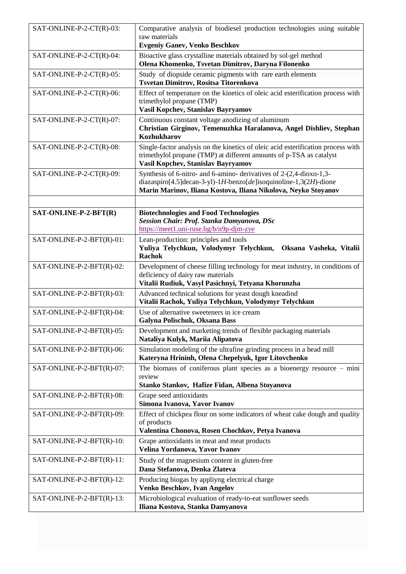| SAT-ONLINE-P-2-CT(R)-03:  | Comparative analysis of biodiesel production technologies using suitable<br>raw materials<br><b>Evgeniy Ganev, Venko Beschkov</b>                                                                          |
|---------------------------|------------------------------------------------------------------------------------------------------------------------------------------------------------------------------------------------------------|
| SAT-ONLINE-P-2-CT(R)-04:  | Bioactive glass crystalline materials obtained by sol-gel method<br>Olena Khomenko, Tsvetan Dimitrov, Daryna Filonenko                                                                                     |
| SAT-ONLINE-P-2-CT(R)-05:  | Study of diopside ceramic pigments with rare earth elements<br>Tsvetan Dimitrov, Rositsa Titorenkova                                                                                                       |
| SAT-ONLINE-P-2-CT(R)-06:  | Effect of temperature on the kinetics of oleic acid esterification process with<br>trimethylol propane (TMP)<br>Vasil Kopchev, Stanislav Bayryamov                                                         |
| SAT-ONLINE-P-2-CT(R)-07:  | Continuous constant voltage anodizing of aluminum<br>Christian Girginov, Temenuzhka Haralanova, Angel Dishliev, Stephan<br><b>Kozhukharov</b>                                                              |
| SAT-ONLINE-P-2-CT(R)-08:  | Single-factor analysis on the kinetics of oleic acid esterification process with<br>trimethylol propane (TMP) at different amounts of p-TSA as catalyst<br>Vasil Kopchev, Stanislav Bayryamov              |
| SAT-ONLINE-P-2-CT(R)-09:  | Synthesis of 6-nitro- and 6-amino- derivatives of 2-(2,4-dioxo-1,3-<br>diazaspiro[4.5]decan-3-yl)-1H-benzo[de]isoquinoline-1,3(2H)-dione<br>Marin Marinov, Iliana Kostova, Iliana Nikolova, Neyko Stoyanov |
|                           |                                                                                                                                                                                                            |
| SAT-ONLINE-P-2-BFT(R)     | <b>Biotechnologies and Food Technologies</b><br>Session Chair: Prof. Stanka Damyanova, DSc<br>https://meet1.uni-ruse.bg/b/n9p-djm-zye                                                                      |
| SAT-ONLINE-P-2-BFT(R)-01: | Lean-production: principles and tools<br>Yuliya Telychkun, Volodymyr Telychkun,<br>Oksana Vasheka, Vitalii<br><b>Rachok</b>                                                                                |
| SAT-ONLINE-P-2-BFT(R)-02: | Development of cheese filling technology for meat industry, in conditions of<br>deficiency of dairy raw materials<br>Vitalii Rudiuk, Vasyl Pasichnyi, Tetyana Khorunzha                                    |
| SAT-ONLINE-P-2-BFT(R)-03: | Advanced technical solutions for yeast dough kneadind<br>Vitalii Rachok, Yuliya Telychkun, Volodymyr Telychkun                                                                                             |
| SAT-ONLINE-P-2-BFT(R)-04: | Use of alternative sweeteners in ice cream<br>Galyna Polischuk, Oksana Bass                                                                                                                                |
| SAT-ONLINE-P-2-BFT(R)-05: | Development and marketing trends of flexible packaging materials<br>Nataliya Kulyk, Mariia Alipatova                                                                                                       |
| SAT-ONLINE-P-2-BFT(R)-06: | Simulation modeling of the ultrafine grinding process in a bead mill<br>Kateryna Hrininh, Olena Chepelyuk, Igor Litovchenko                                                                                |
| SAT-ONLINE-P-2-BFT(R)-07: | The biomass of coniferous plant species as a bioenergy resource $-$ mini<br>review<br>Stanko Stankov, Hafize Fidan, Albena Stoyanova                                                                       |
| SAT-ONLINE-P-2-BFT(R)-08: | Grape seed antioxidants<br>Simona Ivanova, Yavor Ivanov                                                                                                                                                    |
| SAT-ONLINE-P-2-BFT(R)-09: | Effect of chickpea flour on some indicators of wheat cake dough and quality<br>of products<br>Valentina Chonova, Rosen Chochkov, Petya Ivanova                                                             |
| SAT-ONLINE-P-2-BFT(R)-10: | Grape antioxidants in meat and meat products<br>Velina Yordanova, Yavor Ivanov                                                                                                                             |
| SAT-ONLINE-P-2-BFT(R)-11: | Study of the magnesium content in gluten-free<br>Dana Stefanova, Denka Zlateva                                                                                                                             |
| SAT-ONLINE-P-2-BFT(R)-12: | Producing biogas by appliyng electrical charge<br>Venko Beschkov, Ivan Angelov                                                                                                                             |
| SAT-ONLINE-P-2-BFT(R)-13: | Microbiological evaluation of ready-to-eat sunflower seeds<br>Iliana Kostova, Stanka Damyanova                                                                                                             |